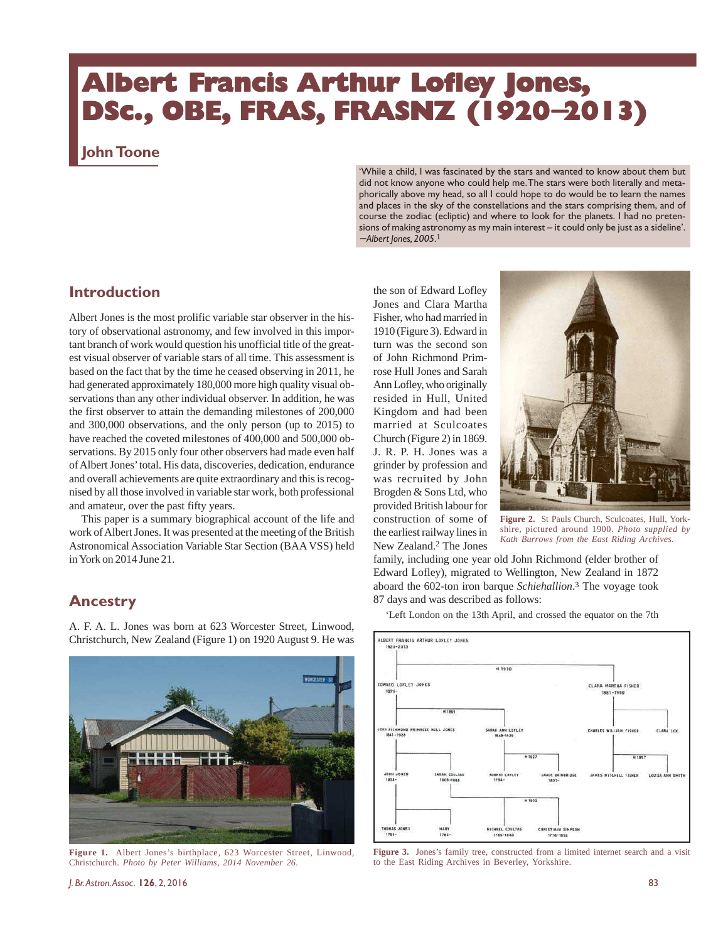## **Albert Francis Arthur Lofley Jones, DSc., OBE, FRAS, FRASNZ (1920**−**2013)**

### **John Toone**

'While a child, I was fascinated by the stars and wanted to know about them but did not know anyone who could help me. The stars were both literally and metaphorically above my head, so all I could hope to do would be to learn the names and places in the sky of the constellations and the stars comprising them, and of course the zodiac (ecliptic) and where to look for the planets. I had no pretensions of making astronomy as my main interest – it could only be just as a sideline'. − *Albert Jones, 2005*. 1

## **Introduction**

Albert Jones is the most prolific variable star observer in the history of observational astronomy, and few involved in this important branch of work would question his unofficial title of the greatest visual observer of variable stars of all time. This assessment is based on the fact that by the time he ceased observing in 2011, he had generated approximately 180,000 more high quality visual observations than any other individual observer. In addition, he was the first observer to attain the demanding milestones of 200,000 and 300,000 observations, and the only person (up to 2015) to have reached the coveted milestones of 400,000 and 500,000 observations. By 2015 only four other observers had made even half of Albert Jones' total. His data, discoveries, dedication, endurance and overall achievements are quite extraordinary and this is recognised by all those involved in variable star work, both professional and amateur, over the past fifty years.

This paper is a summary biographical account of the life and work of Albert Jones. It was presented at the meeting of the British Astronomical Association Variable Star Section (BAA VSS) held in York on 2014 June 21.

### **Ancestry**

A. F. A. L. Jones was born at 623 Worcester Street, Linwood, Christchurch, New Zealand (Figure 1) on 1920 August 9. He was



**Figure 1.** Albert Jones's birthplace, 623 Worcester Street, Linwood, Christchurch. *Photo by Peter Williams, 2014 November 26*.

*J. Br. Astron. Assoc.* **126**, 2, 2016 83

the son of Edward Lofley Jones and Clara Martha Fisher, who had married in 1910 (Figure 3). Edward in turn was the second son of John Richmond Primrose Hull Jones and Sarah Ann Lofley, who originally resided in Hull, United Kingdom and had been married at Sculcoates Church (Figure 2) in 1869. J. R. P. H. Jones was a grinder by profession and was recruited by John Brogden & Sons Ltd, who provided British labour for construction of some of the earliest railway lines in New Zealand.2 The Jones



**Figure 2.** St Pauls Church, Sculcoates, Hull, Yorkshire, pictured around 1900. *Photo supplied by Kath Burrows from the East Riding Archives.*

family, including one year old John Richmond (elder brother of Edward Lofley), migrated to Wellington, New Zealand in 1872 aboard the 602-ton iron barque *Schiehallion*. <sup>3</sup> The voyage took 87 days and was described as follows:

'Left London on the 13th April, and crossed the equator on the 7th



**Figure 3.** Jones's family tree, constructed from a limited internet search and a visit to the East Riding Archives in Beverley, Yorkshire.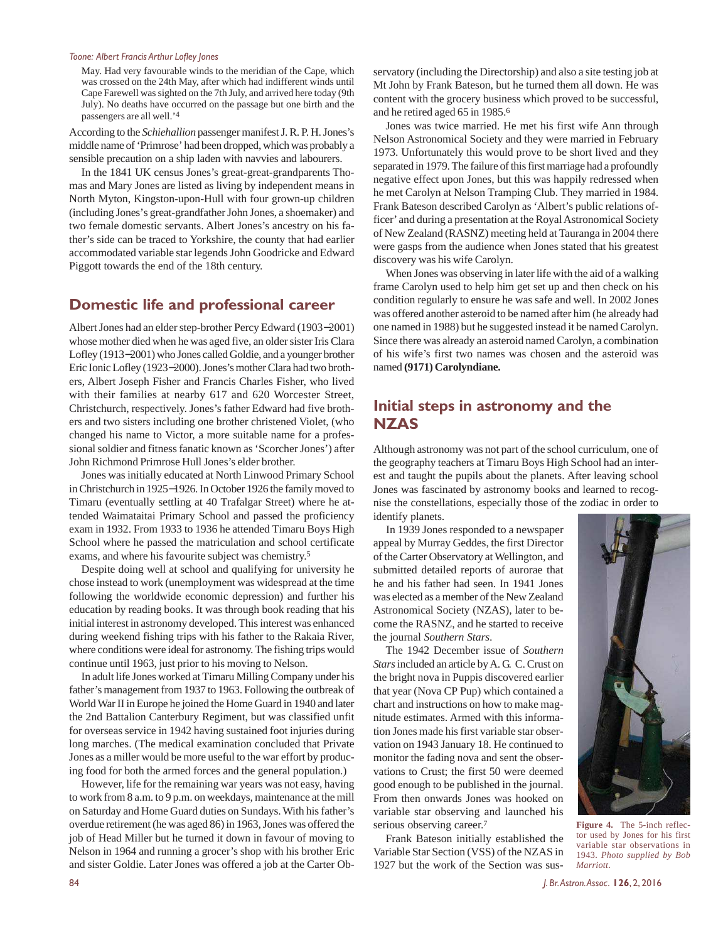May. Had very favourable winds to the meridian of the Cape, which was crossed on the 24th May, after which had indifferent winds until Cape Farewell was sighted on the 7th July, and arrived here today (9th July). No deaths have occurred on the passage but one birth and the passengers are all well.'4

According to the *Schiehallion* passenger manifest J. R. P. H. Jones's middle name of 'Primrose' had been dropped, which was probably a sensible precaution on a ship laden with navvies and labourers.

In the 1841 UK census Jones's great-great-grandparents Thomas and Mary Jones are listed as living by independent means in North Myton, Kingston-upon-Hull with four grown-up children (including Jones's great-grandfather John Jones, a shoemaker) and two female domestic servants. Albert Jones's ancestry on his father's side can be traced to Yorkshire, the county that had earlier accommodated variable star legends John Goodricke and Edward Piggott towards the end of the 18th century.

#### **Domestic life and professional career**

Albert Jones had an elder step-brother Percy Edward (1903−2001) whose mother died when he was aged five, an older sister Iris Clara Lofley (1913−2001) who Jones called Goldie, and a younger brother Eric Ionic Lofley (1923−2000). Jones's mother Clara had two brothers, Albert Joseph Fisher and Francis Charles Fisher, who lived with their families at nearby 617 and 620 Worcester Street, Christchurch, respectively. Jones's father Edward had five brothers and two sisters including one brother christened Violet, (who changed his name to Victor, a more suitable name for a professional soldier and fitness fanatic known as 'Scorcher Jones') after John Richmond Primrose Hull Jones's elder brother.

Jones was initially educated at North Linwood Primary School in Christchurch in 1925−1926. In October 1926 the family moved to Timaru (eventually settling at 40 Trafalgar Street) where he attended Waimataitai Primary School and passed the proficiency exam in 1932. From 1933 to 1936 he attended Timaru Boys High School where he passed the matriculation and school certificate exams, and where his favourite subject was chemistry.<sup>5</sup>

Despite doing well at school and qualifying for university he chose instead to work (unemployment was widespread at the time following the worldwide economic depression) and further his education by reading books. It was through book reading that his initial interest in astronomy developed. This interest was enhanced during weekend fishing trips with his father to the Rakaia River, where conditions were ideal for astronomy. The fishing trips would continue until 1963, just prior to his moving to Nelson.

In adult life Jones worked at Timaru Milling Company under his father's management from 1937 to 1963. Following the outbreak of World War II in Europe he joined the Home Guard in 1940 and later the 2nd Battalion Canterbury Regiment, but was classified unfit for overseas service in 1942 having sustained foot injuries during long marches. (The medical examination concluded that Private Jones as a miller would be more useful to the war effort by producing food for both the armed forces and the general population.)

However, life for the remaining war years was not easy, having to work from 8 a.m. to 9 p.m. on weekdays, maintenance at the mill on Saturday and Home Guard duties on Sundays. With his father's overdue retirement (he was aged 86) in 1963, Jones was offered the job of Head Miller but he turned it down in favour of moving to Nelson in 1964 and running a grocer's shop with his brother Eric and sister Goldie. Later Jones was offered a job at the Carter Observatory (including the Directorship) and also a site testing job at Mt John by Frank Bateson, but he turned them all down. He was content with the grocery business which proved to be successful, and he retired aged 65 in 1985.<sup>6</sup>

Jones was twice married. He met his first wife Ann through Nelson Astronomical Society and they were married in February 1973. Unfortunately this would prove to be short lived and they separated in 1979. The failure of this first marriage had a profoundly negative effect upon Jones, but this was happily redressed when he met Carolyn at Nelson Tramping Club. They married in 1984. Frank Bateson described Carolyn as 'Albert's public relations officer' and during a presentation at the Royal Astronomical Society of New Zealand (RASNZ) meeting held at Tauranga in 2004 there were gasps from the audience when Jones stated that his greatest discovery was his wife Carolyn.

When Jones was observing in later life with the aid of a walking frame Carolyn used to help him get set up and then check on his condition regularly to ensure he was safe and well. In 2002 Jones was offered another asteroid to be named after him (he already had one named in 1988) but he suggested instead it be named Carolyn. Since there was already an asteroid named Carolyn, a combination of his wife's first two names was chosen and the asteroid was named **(9171) Carolyndiane.**

## **Initial steps in astronomy and the NZAS**

Although astronomy was not part of the school curriculum, one of the geography teachers at Timaru Boys High School had an interest and taught the pupils about the planets. After leaving school Jones was fascinated by astronomy books and learned to recognise the constellations, especially those of the zodiac in order to identify planets.

In 1939 Jones responded to a newspaper appeal by Murray Geddes, the first Director of the Carter Observatory at Wellington, and submitted detailed reports of aurorae that he and his father had seen. In 1941 Jones was elected as a member of the New Zealand Astronomical Society (NZAS), later to become the RASNZ, and he started to receive the journal *Southern Stars*.

The 1942 December issue of *Southern Stars* included an article by A. G. C. Crust on the bright nova in Puppis discovered earlier that year (Nova CP Pup) which contained a chart and instructions on how to make magnitude estimates. Armed with this information Jones made his first variable star observation on 1943 January 18. He continued to monitor the fading nova and sent the observations to Crust; the first 50 were deemed good enough to be published in the journal. From then onwards Jones was hooked on variable star observing and launched his serious observing career.<sup>7</sup>

Frank Bateson initially established the Variable Star Section (VSS) of the NZAS in 1927 but the work of the Section was sus-



**Figure 4.** The 5-inch reflector used by Jones for his first variable star observations in 1943. *Photo supplied by Bob Marriott*.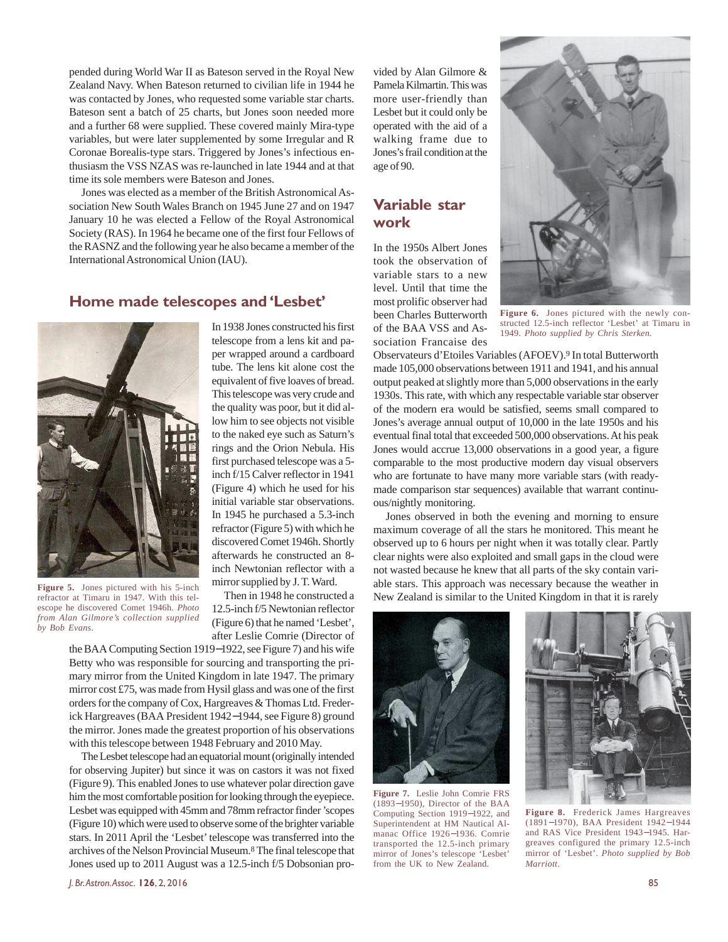pended during World War II as Bateson served in the Royal New Zealand Navy. When Bateson returned to civilian life in 1944 he was contacted by Jones, who requested some variable star charts. Bateson sent a batch of 25 charts, but Jones soon needed more and a further 68 were supplied. These covered mainly Mira-type variables, but were later supplemented by some Irregular and R Coronae Borealis-type stars. Triggered by Jones's infectious enthusiasm the VSS NZAS was re-launched in late 1944 and at that time its sole members were Bateson and Jones.

Jones was elected as a member of the British Astronomical Association New South Wales Branch on 1945 June 27 and on 1947 January 10 he was elected a Fellow of the Royal Astronomical Society (RAS). In 1964 he became one of the first four Fellows of the RASNZ and the following year he also became a member of the International Astronomical Union (IAU).

#### **Home made telescopes and 'Lesbet'**



**Figure 5.** Jones pictured with his 5-inch refractor at Timaru in 1947. With this telescope he discovered Comet 1946h. *Photo from Alan Gilmore's collection supplied by Bob Evans.*

In 1938 Jones constructed his first telescope from a lens kit and paper wrapped around a cardboard tube. The lens kit alone cost the equivalent of five loaves of bread. This telescope was very crude and the quality was poor, but it did allow him to see objects not visible to the naked eye such as Saturn's rings and the Orion Nebula. His first purchased telescope was a 5 inch f/15 Calver reflector in 1941 (Figure 4) which he used for his initial variable star observations. In 1945 he purchased a 5.3-inch refractor (Figure 5) with which he discovered Comet 1946h. Shortly afterwards he constructed an 8 inch Newtonian reflector with a mirror supplied by J. T. Ward.

Then in 1948 he constructed a 12.5-inch f/5 Newtonian reflector (Figure 6) that he named 'Lesbet', after Leslie Comrie (Director of

the BAA Computing Section 1919−1922, see Figure 7) and his wife Betty who was responsible for sourcing and transporting the primary mirror from the United Kingdom in late 1947. The primary mirror cost £75, was made from Hysil glass and was one of the first orders for the company of Cox, Hargreaves & Thomas Ltd. Frederick Hargreaves (BAA President 1942−1944, see Figure 8) ground the mirror. Jones made the greatest proportion of his observations with this telescope between 1948 February and 2010 May.

The Lesbet telescope had an equatorial mount (originally intended for observing Jupiter) but since it was on castors it was not fixed (Figure 9). This enabled Jones to use whatever polar direction gave him the most comfortable position for looking through the eyepiece. Lesbet was equipped with 45mm and 78mm refractor finder 'scopes (Figure 10) which were used to observe some of the brighter variable stars. In 2011 April the 'Lesbet' telescope was transferred into the archives of the Nelson Provincial Museum.8 The final telescope that Jones used up to 2011 August was a 12.5-inch f/5 Dobsonian provided by Alan Gilmore & Pamela Kilmartin. This was more user-friendly than Lesbet but it could only be operated with the aid of a walking frame due to Jones's frail condition at the age of 90.

## **Variable star work**

In the 1950s Albert Jones took the observation of variable stars to a new level. Until that time the most prolific observer had been Charles Butterworth of the BAA VSS and Association Francaise des



**Figure 6.** Jones pictured with the newly constructed 12.5-inch reflector 'Lesbet' at Timaru in 1949. *Photo supplied by Chris Sterken.*

Observateurs d'Etoiles Variables (AFOEV).9 In total Butterworth made 105,000 observations between 1911 and 1941, and his annual output peaked at slightly more than 5,000 observations in the early 1930s. This rate, with which any respectable variable star observer of the modern era would be satisfied, seems small compared to Jones's average annual output of 10,000 in the late 1950s and his eventual final total that exceeded 500,000 observations. At his peak Jones would accrue 13,000 observations in a good year, a figure comparable to the most productive modern day visual observers who are fortunate to have many more variable stars (with readymade comparison star sequences) available that warrant continuous/nightly monitoring.

Jones observed in both the evening and morning to ensure maximum coverage of all the stars he monitored. This meant he observed up to 6 hours per night when it was totally clear. Partly clear nights were also exploited and small gaps in the cloud were not wasted because he knew that all parts of the sky contain variable stars. This approach was necessary because the weather in New Zealand is similar to the United Kingdom in that it is rarely



**Figure 7.** Leslie John Comrie FRS (1893−1950), Director of the BAA Computing Section 1919−1922, and Superintendent at HM Nautical Almanac Office 1926−1936. Comrie transported the 12.5-inch primary mirror of Jones's telescope 'Lesbet' from the UK to New Zealand.



**Figure 8.** Frederick James Hargreaves (1891−1970), BAA President 1942−1944 and RAS Vice President 1943−1945. Hargreaves configured the primary 12.5-inch mirror of 'Lesbet'. *Photo supplied by Bob Marriott*.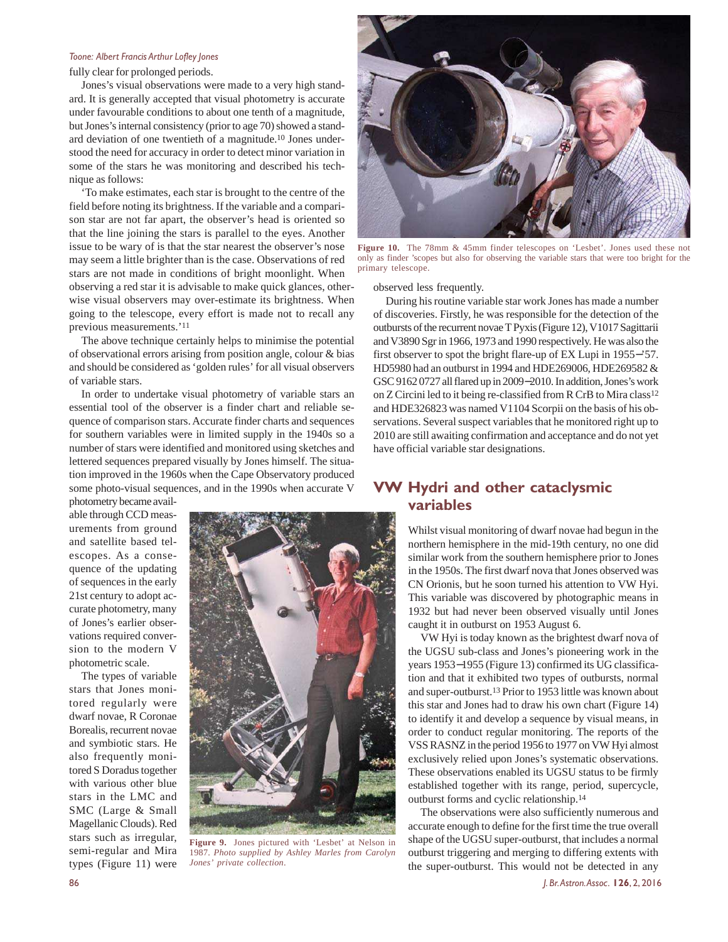fully clear for prolonged periods.

Jones's visual observations were made to a very high standard. It is generally accepted that visual photometry is accurate under favourable conditions to about one tenth of a magnitude, but Jones's internal consistency (prior to age 70) showed a standard deviation of one twentieth of a magnitude.10 Jones understood the need for accuracy in order to detect minor variation in some of the stars he was monitoring and described his technique as follows:

'To make estimates, each star is brought to the centre of the field before noting its brightness. If the variable and a comparison star are not far apart, the observer's head is oriented so that the line joining the stars is parallel to the eyes. Another issue to be wary of is that the star nearest the observer's nose may seem a little brighter than is the case. Observations of red stars are not made in conditions of bright moonlight. When observing a red star it is advisable to make quick glances, otherwise visual observers may over-estimate its brightness. When going to the telescope, every effort is made not to recall any previous measurements.'<sup>11</sup>

The above technique certainly helps to minimise the potential of observational errors arising from position angle, colour & bias and should be considered as 'golden rules' for all visual observers of variable stars.

In order to undertake visual photometry of variable stars an essential tool of the observer is a finder chart and reliable sequence of comparison stars. Accurate finder charts and sequences for southern variables were in limited supply in the 1940s so a number of stars were identified and monitored using sketches and lettered sequences prepared visually by Jones himself. The situation improved in the 1960s when the Cape Observatory produced some photo-visual sequences, and in the 1990s when accurate V

photometry became available through CCD measurements from ground and satellite based telescopes. As a consequence of the updating of sequences in the early 21st century to adopt accurate photometry, many of Jones's earlier observations required conversion to the modern V photometric scale.

The types of variable stars that Jones monitored regularly were dwarf novae, R Coronae Borealis, recurrent novae and symbiotic stars. He also frequently monitored S Doradus together with various other blue stars in the LMC and SMC (Large & Small Magellanic Clouds). Red stars such as irregular, semi-regular and Mira types (Figure 11) were



**Figure 9.** Jones pictured with 'Lesbet' at Nelson in 1987. *Photo supplied by Ashley Marles from Carolyn Jones' private collection*.



**Figure 10.** The 78mm & 45mm finder telescopes on 'Lesbet'. Jones used these not only as finder 'scopes but also for observing the variable stars that were too bright for the primary telescope.

observed less frequently.

During his routine variable star work Jones has made a number of discoveries. Firstly, he was responsible for the detection of the outbursts of the recurrent novae T Pyxis (Figure 12), V1017 Sagittarii and V3890 Sgr in 1966, 1973 and 1990 respectively. He was also the first observer to spot the bright flare-up of EX Lupi in 1955−'57. HD5980 had an outburst in 1994 and HDE269006, HDE269582 & GSC 9162 0727 all flared up in 2009−2010. In addition, Jones's work on Z Circini led to it being re-classified from R CrB to Mira class12 and HDE326823 was named V1104 Scorpii on the basis of his observations. Several suspect variables that he monitored right up to 2010 are still awaiting confirmation and acceptance and do not yet have official variable star designations.

## **VW Hydri and other cataclysmic variables**

Whilst visual monitoring of dwarf novae had begun in the northern hemisphere in the mid-19th century, no one did similar work from the southern hemisphere prior to Jones in the 1950s. The first dwarf nova that Jones observed was CN Orionis, but he soon turned his attention to VW Hyi. This variable was discovered by photographic means in 1932 but had never been observed visually until Jones caught it in outburst on 1953 August 6.

VW Hyi is today known as the brightest dwarf nova of the UGSU sub-class and Jones's pioneering work in the years 1953−1955 (Figure 13) confirmed its UG classification and that it exhibited two types of outbursts, normal and super-outburst.13 Prior to 1953 little was known about this star and Jones had to draw his own chart (Figure 14) to identify it and develop a sequence by visual means, in order to conduct regular monitoring. The reports of the VSS RASNZ in the period 1956 to 1977 on VW Hyi almost exclusively relied upon Jones's systematic observations. These observations enabled its UGSU status to be firmly established together with its range, period, supercycle, outburst forms and cyclic relationship.14

The observations were also sufficiently numerous and accurate enough to define for the first time the true overall shape of the UGSU super-outburst, that includes a normal outburst triggering and merging to differing extents with the super-outburst. This would not be detected in any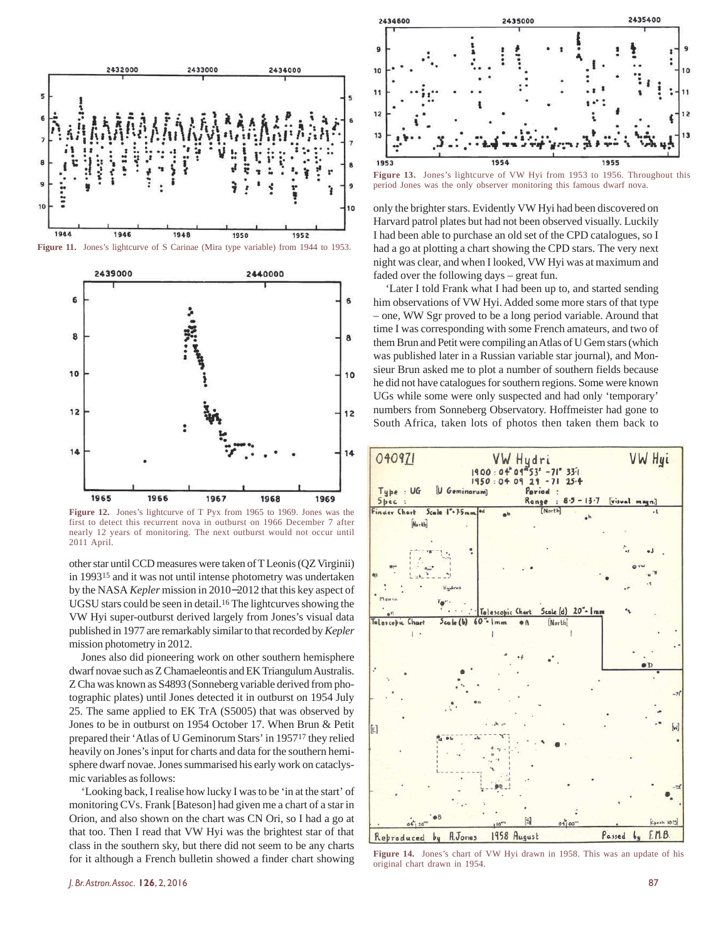

**Figure 11.** Jones's lightcurve of S Carinae (Mira type variable) from 1944 to 1953.



**Figure 12.** Jones's lightcurve of T Pyx from 1965 to 1969. Jones was the first to detect this recurrent nova in outburst on 1966 December 7 after nearly 12 years of monitoring. The next outburst would not occur until 2011 April.

other star until CCD measures were taken of T Leonis (QZ Virginii) in 199315 and it was not until intense photometry was undertaken by the NASA *Kepler* mission in 2010−2012 that this key aspect of UGSU stars could be seen in detail.16 The lightcurves showing the VW Hyi super-outburst derived largely from Jones's visual data published in 1977 are remarkably similar to that recorded by *Kepler* mission photometry in 2012.

Jones also did pioneering work on other southern hemisphere dwarf novae such as Z Chamaeleontis and EK Triangulum Australis. Z Cha was known as S4893 (Sonneberg variable derived from photographic plates) until Jones detected it in outburst on 1954 July 25. The same applied to EK TrA (S5005) that was observed by Jones to be in outburst on 1954 October 17. When Brun & Petit prepared their 'Atlas of U Geminorum Stars' in 195717 they relied heavily on Jones's input for charts and data for the southern hemisphere dwarf novae. Jones summarised his early work on cataclysmic variables as follows:

'Looking back, I realise how lucky I was to be 'in at the start' of monitoring CVs. Frank [Bateson] had given me a chart of a star in Orion, and also shown on the chart was CN Ori, so I had a go at that too. Then I read that VW Hyi was the brightest star of that class in the southern sky, but there did not seem to be any charts for it although a French bulletin showed a finder chart showing



**Figure 13.** Jones's lightcurve of VW Hyi from 1953 to 1956. Throughout this period Jones was the only observer monitoring this famous dwarf nova.

only the brighter stars. Evidently VW Hyi had been discovered on Harvard patrol plates but had not been observed visually. Luckily I had been able to purchase an old set of the CPD catalogues, so I had a go at plotting a chart showing the CPD stars. The very next night was clear, and when I looked, VW Hyi was at maximum and faded over the following days – great fun.

'Later I told Frank what I had been up to, and started sending him observations of VW Hyi. Added some more stars of that type – one, WW Sgr proved to be a long period variable. Around that time I was corresponding with some French amateurs, and two of them Brun and Petit were compiling an Atlas of U Gem stars (which was published later in a Russian variable star journal), and Monsieur Brun asked me to plot a number of southern fields because he did not have catalogues for southern regions. Some were known UGs while some were only suspected and had only 'temporary' numbers from Sonneberg Observatory. Hoffmeister had gone to South Africa, taken lots of photos then taken them back to



**Figure 14.** Jones's chart of VW Hyi drawn in 1958. This was an update of his original chart drawn in 1954.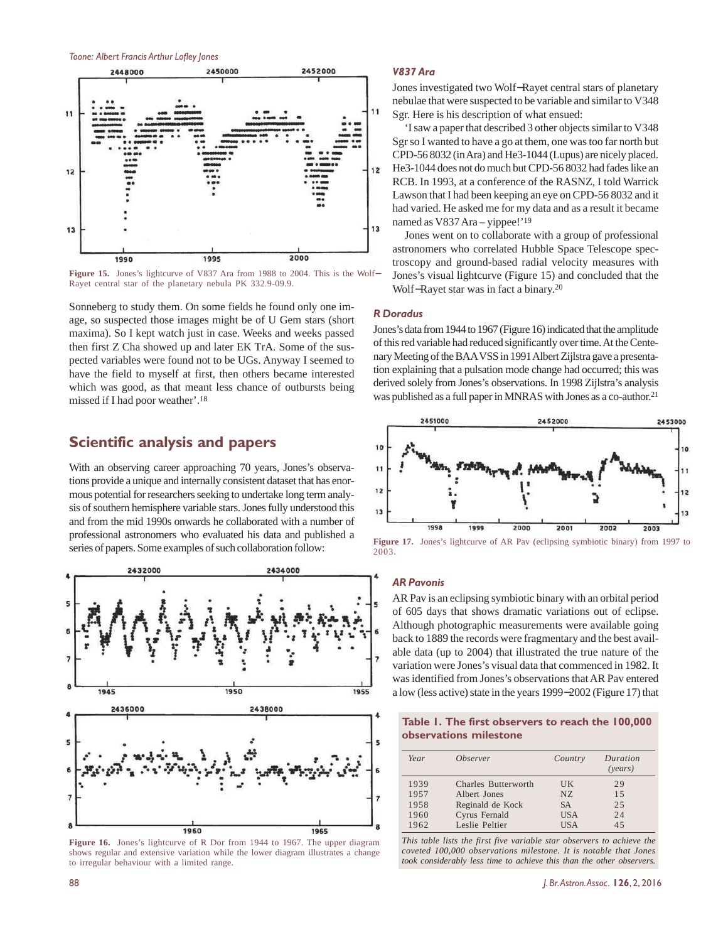

**Figure 15.** Jones's lightcurve of V837 Ara from 1988 to 2004. This is the Wolf− Rayet central star of the planetary nebula PK 332.9-09.9.

Sonneberg to study them. On some fields he found only one image, so suspected those images might be of U Gem stars (short maxima). So I kept watch just in case. Weeks and weeks passed then first Z Cha showed up and later EK TrA. Some of the suspected variables were found not to be UGs. Anyway I seemed to have the field to myself at first, then others became interested which was good, as that meant less chance of outbursts being missed if I had poor weather'.<sup>18</sup>

#### **Scientific analysis and papers**

With an observing career approaching 70 years, Jones's observations provide a unique and internally consistent dataset that has enormous potential for researchers seeking to undertake long term analysis of southern hemisphere variable stars. Jones fully understood this and from the mid 1990s onwards he collaborated with a number of professional astronomers who evaluated his data and published a series of papers. Some examples of such collaboration follow:



**Figure 16.** Jones's lightcurve of R Dor from 1944 to 1967. The upper diagram shows regular and extensive variation while the lower diagram illustrates a change to irregular behaviour with a limited range.

#### *V837 Ara*

Jones investigated two Wolf−Rayet central stars of planetary nebulae that were suspected to be variable and similar to V348 Sgr. Here is his description of what ensued:

'I saw a paper that described 3 other objects similar to V348 Sgr so I wanted to have a go at them, one was too far north but CPD-56 8032 (in Ara) and He3-1044 (Lupus) are nicely placed. He3-1044 does not do much but CPD-56 8032 had fades like an RCB. In 1993, at a conference of the RASNZ, I told Warrick Lawson that I had been keeping an eye on CPD-56 8032 and it had varied. He asked me for my data and as a result it became named as V837 Ara – yippee!'<sup>19</sup>

Jones went on to collaborate with a group of professional astronomers who correlated Hubble Space Telescope spectroscopy and ground-based radial velocity measures with Jones's visual lightcurve (Figure 15) and concluded that the Wolf−Rayet star was in fact a binary.<sup>20</sup>

#### *R Doradus*

Jones's data from 1944 to 1967 (Figure 16) indicated that the amplitude of this red variable had reduced significantly over time. At the Centenary Meeting of the BAA VSS in 1991 Albert Zijlstra gave a presentation explaining that a pulsation mode change had occurred; this was derived solely from Jones's observations. In 1998 Zijlstra's analysis was published as a full paper in MNRAS with Jones as a co-author.<sup>21</sup>



**Figure 17.** Jones's lightcurve of AR Pav (eclipsing symbiotic binary) from 1997 to 2003.

#### *AR Pavonis*

AR Pav is an eclipsing symbiotic binary with an orbital period of 605 days that shows dramatic variations out of eclipse. Although photographic measurements were available going back to 1889 the records were fragmentary and the best available data (up to 2004) that illustrated the true nature of the variation were Jones's visual data that commenced in 1982. It was identified from Jones's observations that AR Pav entered a low (less active) state in the years 1999−2002 (Figure 17) that

|                        | Table 1. The first observers to reach the 100,000 |  |  |
|------------------------|---------------------------------------------------|--|--|
| observations milestone |                                                   |  |  |

| Year | <i><b>Observer</b></i> | Country    | Duration<br>( <i>years</i> ) |
|------|------------------------|------------|------------------------------|
| 1939 | Charles Butterworth    | UK.        | 29                           |
| 1957 | Albert Jones           | NZ.        | 15                           |
| 1958 | Reginald de Kock       | <b>SA</b>  | 2.5                          |
| 1960 | Cyrus Fernald          | <b>USA</b> | 24                           |
| 1962 | Leslie Peltier         | USA        | 45                           |

*This table lists the first five variable star observers to achieve the coveted 100,000 observations milestone. It is notable that Jones took considerably less time to achieve this than the other observers.*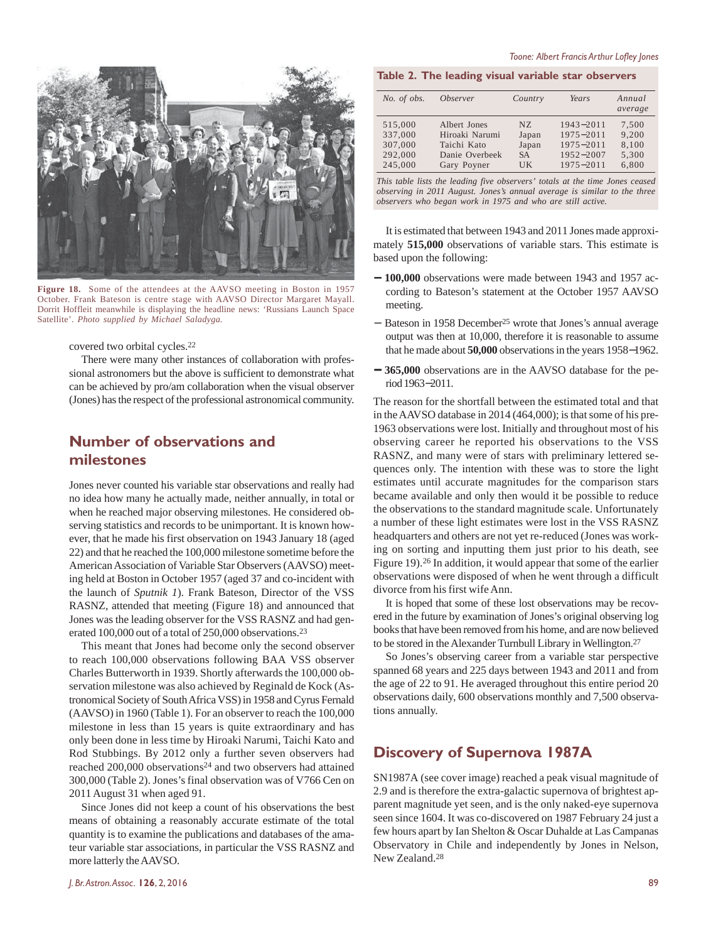

**Figure 18.** Some of the attendees at the AAVSO meeting in Boston in 1957 October. Frank Bateson is centre stage with AAVSO Director Margaret Mayall. Dorrit Hoffleit meanwhile is displaying the headline news: 'Russians Launch Space Satellite'. *Photo supplied by Michael Saladyga.*

covered two orbital cycles.<sup>22</sup>

There were many other instances of collaboration with professional astronomers but the above is sufficient to demonstrate what can be achieved by pro/am collaboration when the visual observer (Jones) has the respect of the professional astronomical community.

## **Number of observations and milestones**

Jones never counted his variable star observations and really had no idea how many he actually made, neither annually, in total or when he reached major observing milestones. He considered observing statistics and records to be unimportant. It is known however, that he made his first observation on 1943 January 18 (aged 22) and that he reached the 100,000 milestone sometime before the American Association of Variable Star Observers (AAVSO) meeting held at Boston in October 1957 (aged 37 and co-incident with the launch of *Sputnik 1*). Frank Bateson, Director of the VSS RASNZ, attended that meeting (Figure 18) and announced that Jones was the leading observer for the VSS RASNZ and had generated 100,000 out of a total of 250,000 observations.<sup>23</sup>

This meant that Jones had become only the second observer to reach 100,000 observations following BAA VSS observer Charles Butterworth in 1939. Shortly afterwards the 100,000 observation milestone was also achieved by Reginald de Kock (Astronomical Society of South Africa VSS) in 1958 and Cyrus Fernald (AAVSO) in 1960 (Table 1). For an observer to reach the 100,000 milestone in less than 15 years is quite extraordinary and has only been done in less time by Hiroaki Narumi, Taichi Kato and Rod Stubbings. By 2012 only a further seven observers had reached 200,000 observations<sup>24</sup> and two observers had attained 300,000 (Table 2). Jones's final observation was of V766 Cen on 2011 August 31 when aged 91.

Since Jones did not keep a count of his observations the best means of obtaining a reasonably accurate estimate of the total quantity is to examine the publications and databases of the amateur variable star associations, in particular the VSS RASNZ and more latterly the AAVSO.

#### **Table 2. The leading visual variable star observers**

| No. of obs. | <i><b>Observer</b></i> | Country   | Years         | Annual<br>average |
|-------------|------------------------|-----------|---------------|-------------------|
| 515,000     | Albert Jones           | NZ.       | $1943 - 2011$ | 7.500             |
| 337,000     | Hiroaki Narumi         | Japan     | $1975 - 2011$ | 9.200             |
| 307,000     | Taichi Kato            | Japan     | $1975 - 2011$ | 8,100             |
| 292,000     | Danie Overbeek         | <b>SA</b> | 1952-2007     | 5,300             |
| 245,000     | Gary Poyner            | UK        | $1975 - 2011$ | 6,800             |

*This table lists the leading five observers' totals at the time Jones ceased observing in 2011 August. Jones's annual average is similar to the three observers who began work in 1975 and who are still active.*

It is estimated that between 1943 and 2011 Jones made approximately **515,000** observations of variable stars. This estimate is based upon the following:

- − **100,000** observations were made between 1943 and 1957 according to Bateson's statement at the October 1957 AAVSO meeting.
- − Bateson in 1958 December25 wrote that Jones's annual average output was then at 10,000, therefore it is reasonable to assume that he made about **50,000** observations in the years 1958−1962.
- − **365,000** observations are in the AAVSO database for the period 1963−2011.

The reason for the shortfall between the estimated total and that in the AAVSO database in 2014 (464,000); is that some of his pre-1963 observations were lost. Initially and throughout most of his observing career he reported his observations to the VSS RASNZ, and many were of stars with preliminary lettered sequences only. The intention with these was to store the light estimates until accurate magnitudes for the comparison stars became available and only then would it be possible to reduce the observations to the standard magnitude scale. Unfortunately a number of these light estimates were lost in the VSS RASNZ headquarters and others are not yet re-reduced (Jones was working on sorting and inputting them just prior to his death, see Figure 19).26 In addition, it would appear that some of the earlier observations were disposed of when he went through a difficult divorce from his first wife Ann.

It is hoped that some of these lost observations may be recovered in the future by examination of Jones's original observing log books that have been removed from his home, and are now believed to be stored in the Alexander Turnbull Library in Wellington.<sup>27</sup>

So Jones's observing career from a variable star perspective spanned 68 years and 225 days between 1943 and 2011 and from the age of 22 to 91. He averaged throughout this entire period 20 observations daily, 600 observations monthly and 7,500 observations annually.

#### **Discovery of Supernova 1987A**

SN1987A (see cover image) reached a peak visual magnitude of 2.9 and is therefore the extra-galactic supernova of brightest apparent magnitude yet seen, and is the only naked-eye supernova seen since 1604. It was co-discovered on 1987 February 24 just a few hours apart by Ian Shelton & Oscar Duhalde at Las Campanas Observatory in Chile and independently by Jones in Nelson, New Zealand.<sup>28</sup>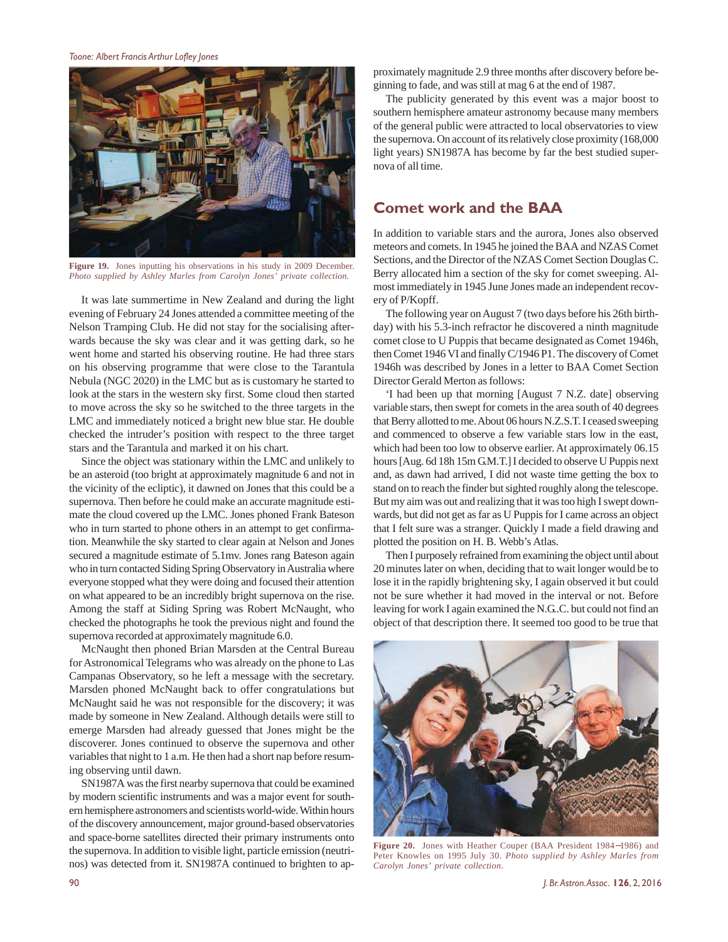*Toone: Albert Francis Arthur Lofley Jones*



**Figure 19.** Jones inputting his observations in his study in 2009 December. *Photo supplied by Ashley Marles from Carolyn Jones' private collection.*

It was late summertime in New Zealand and during the light evening of February 24 Jones attended a committee meeting of the Nelson Tramping Club. He did not stay for the socialising afterwards because the sky was clear and it was getting dark, so he went home and started his observing routine. He had three stars on his observing programme that were close to the Tarantula Nebula (NGC 2020) in the LMC but as is customary he started to look at the stars in the western sky first. Some cloud then started to move across the sky so he switched to the three targets in the LMC and immediately noticed a bright new blue star. He double checked the intruder's position with respect to the three target stars and the Tarantula and marked it on his chart.

Since the object was stationary within the LMC and unlikely to be an asteroid (too bright at approximately magnitude 6 and not in the vicinity of the ecliptic), it dawned on Jones that this could be a supernova. Then before he could make an accurate magnitude estimate the cloud covered up the LMC. Jones phoned Frank Bateson who in turn started to phone others in an attempt to get confirmation. Meanwhile the sky started to clear again at Nelson and Jones secured a magnitude estimate of 5.1mv. Jones rang Bateson again who in turn contacted Siding Spring Observatory in Australia where everyone stopped what they were doing and focused their attention on what appeared to be an incredibly bright supernova on the rise. Among the staff at Siding Spring was Robert McNaught, who checked the photographs he took the previous night and found the supernova recorded at approximately magnitude 6.0.

McNaught then phoned Brian Marsden at the Central Bureau for Astronomical Telegrams who was already on the phone to Las Campanas Observatory, so he left a message with the secretary. Marsden phoned McNaught back to offer congratulations but McNaught said he was not responsible for the discovery; it was made by someone in New Zealand. Although details were still to emerge Marsden had already guessed that Jones might be the discoverer. Jones continued to observe the supernova and other variables that night to 1 a.m. He then had a short nap before resuming observing until dawn.

SN1987A was the first nearby supernova that could be examined by modern scientific instruments and was a major event for southern hemisphere astronomers and scientists world-wide. Within hours of the discovery announcement, major ground-based observatories and space-borne satellites directed their primary instruments onto the supernova. In addition to visible light, particle emission (neutrinos) was detected from it. SN1987A continued to brighten to approximately magnitude 2.9 three months after discovery before beginning to fade, and was still at mag 6 at the end of 1987.

The publicity generated by this event was a major boost to southern hemisphere amateur astronomy because many members of the general public were attracted to local observatories to view the supernova. On account of its relatively close proximity (168,000 light years) SN1987A has become by far the best studied supernova of all time.

### **Comet work and the BAA**

In addition to variable stars and the aurora, Jones also observed meteors and comets. In 1945 he joined the BAA and NZAS Comet Sections, and the Director of the NZAS Comet Section Douglas C. Berry allocated him a section of the sky for comet sweeping. Almost immediately in 1945 June Jones made an independent recovery of P/Kopff.

The following year on August 7 (two days before his 26th birthday) with his 5.3-inch refractor he discovered a ninth magnitude comet close to U Puppis that became designated as Comet 1946h, then Comet 1946 VI and finally C/1946 P1. The discovery of Comet 1946h was described by Jones in a letter to BAA Comet Section Director Gerald Merton as follows:

'I had been up that morning [August 7 N.Z. date] observing variable stars, then swept for comets in the area south of 40 degrees that Berry allotted to me. About 06 hours N.Z.S.T. I ceased sweeping and commenced to observe a few variable stars low in the east, which had been too low to observe earlier. At approximately 06.15 hours [Aug. 6d 18h 15m G.M.T.] I decided to observe U Puppis next and, as dawn had arrived, I did not waste time getting the box to stand on to reach the finder but sighted roughly along the telescope. But my aim was out and realizing that it was too high I swept downwards, but did not get as far as U Puppis for I came across an object that I felt sure was a stranger. Quickly I made a field drawing and plotted the position on H. B. Webb's Atlas.

Then I purposely refrained from examining the object until about 20 minutes later on when, deciding that to wait longer would be to lose it in the rapidly brightening sky, I again observed it but could not be sure whether it had moved in the interval or not. Before leaving for work I again examined the N.G..C. but could not find an object of that description there. It seemed too good to be true that



**Figure 20.** Jones with Heather Couper (BAA President 1984−1986) and Peter Knowles on 1995 July 30. *Photo supplied by Ashley Marles from Carolyn Jones' private collection*.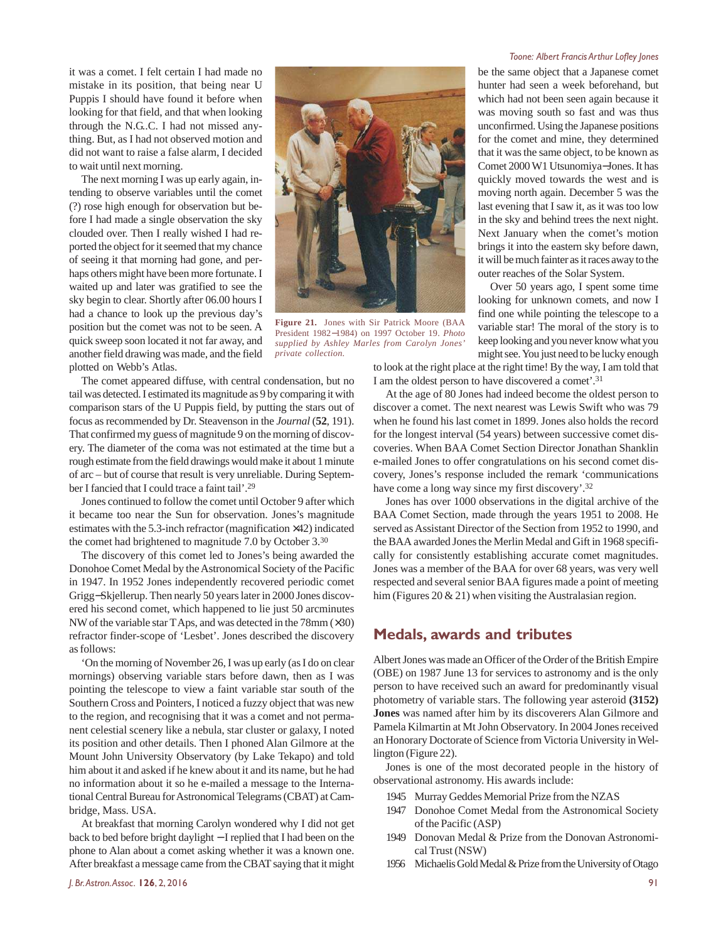it was a comet. I felt certain I had made no mistake in its position, that being near U Puppis I should have found it before when looking for that field, and that when looking through the N.G.C. I had not missed anything. But, as I had not observed motion and did not want to raise a false alarm, I decided to wait until next morning.

The next morning I was up early again, intending to observe variables until the comet (?) rose high enough for observation but before I had made a single observation the sky clouded over. Then I really wished I had reported the object for it seemed that my chance of seeing it that morning had gone, and perhaps others might have been more fortunate. I waited up and later was gratified to see the sky begin to clear. Shortly after 06.00 hours I had a chance to look up the previous day's position but the comet was not to be seen. A quick sweep soon located it not far away, and another field drawing was made, and the field plotted on Webb's Atlas.



**Figure 21.** Jones with Sir Patrick Moore (BAA President 1982−1984) on 1997 October 19. *Photo supplied by Ashley Marles from Carolyn Jones' private collection.*

The comet appeared diffuse, with central condensation, but no tail was detected. I estimated its magnitude as 9 by comparing it with comparison stars of the U Puppis field, by putting the stars out of focus as recommended by Dr. Steavenson in the *Journal* (**52**, 191). That confirmed my guess of magnitude 9 on the morning of discovery. The diameter of the coma was not estimated at the time but a rough estimate from the field drawings would make it about 1 minute of arc – but of course that result is very unreliable. During September I fancied that I could trace a faint tail'.<sup>29</sup>

Jones continued to follow the comet until October 9 after which it became too near the Sun for observation. Jones's magnitude estimates with the 5.3-inch refractor (magnification ×42) indicated the comet had brightened to magnitude 7.0 by October 3.<sup>30</sup>

The discovery of this comet led to Jones's being awarded the Donohoe Comet Medal by the Astronomical Society of the Pacific in 1947. In 1952 Jones independently recovered periodic comet Grigg−Skjellerup. Then nearly 50 years later in 2000 Jones discovered his second comet, which happened to lie just 50 arcminutes NW of the variable star T Aps, and was detected in the 78mm (×30) refractor finder-scope of 'Lesbet'. Jones described the discovery as follows:

'On the morning of November 26, I was up early (as I do on clear mornings) observing variable stars before dawn, then as I was pointing the telescope to view a faint variable star south of the Southern Cross and Pointers, I noticed a fuzzy object that was new to the region, and recognising that it was a comet and not permanent celestial scenery like a nebula, star cluster or galaxy, I noted its position and other details. Then I phoned Alan Gilmore at the Mount John University Observatory (by Lake Tekapo) and told him about it and asked if he knew about it and its name, but he had no information about it so he e-mailed a message to the International Central Bureau for Astronomical Telegrams (CBAT) at Cambridge, Mass. USA.

At breakfast that morning Carolyn wondered why I did not get back to bed before bright daylight − I replied that I had been on the phone to Alan about a comet asking whether it was a known one. After breakfast a message came from the CBAT saying that it might

#### *Toone: Albert Francis Arthur Lofley Jones*

be the same object that a Japanese comet hunter had seen a week beforehand, but which had not been seen again because it was moving south so fast and was thus unconfirmed. Using the Japanese positions for the comet and mine, they determined that it was the same object, to be known as Comet 2000 W1 Utsunomiya−Jones. It has quickly moved towards the west and is moving north again. December 5 was the last evening that I saw it, as it was too low in the sky and behind trees the next night. Next January when the comet's motion brings it into the eastern sky before dawn, it will be much fainter as it races away to the outer reaches of the Solar System.

Over 50 years ago, I spent some time looking for unknown comets, and now I find one while pointing the telescope to a variable star! The moral of the story is to keep looking and you never know what you might see. You just need to be lucky enough

to look at the right place at the right time! By the way, I am told that I am the oldest person to have discovered a comet'.<sup>31</sup>

At the age of 80 Jones had indeed become the oldest person to discover a comet. The next nearest was Lewis Swift who was 79 when he found his last comet in 1899. Jones also holds the record for the longest interval (54 years) between successive comet discoveries. When BAA Comet Section Director Jonathan Shanklin e-mailed Jones to offer congratulations on his second comet discovery, Jones's response included the remark 'communications have come a long way since my first discovery'.<sup>32</sup>

Jones has over 1000 observations in the digital archive of the BAA Comet Section, made through the years 1951 to 2008. He served as Assistant Director of the Section from 1952 to 1990, and the BAA awarded Jones the Merlin Medal and Gift in 1968 specifically for consistently establishing accurate comet magnitudes. Jones was a member of the BAA for over 68 years, was very well respected and several senior BAA figures made a point of meeting him (Figures 20 & 21) when visiting the Australasian region.

#### **Medals, awards and tributes**

Albert Jones was made an Officer of the Order of the British Empire (OBE) on 1987 June 13 for services to astronomy and is the only person to have received such an award for predominantly visual photometry of variable stars. The following year asteroid **(3152) Jones** was named after him by its discoverers Alan Gilmore and Pamela Kilmartin at Mt John Observatory. In 2004 Jones received an Honorary Doctorate of Science from Victoria University in Wellington (Figure 22).

Jones is one of the most decorated people in the history of observational astronomy. His awards include:

- 1945 Murray Geddes Memorial Prize from the NZAS
- 1947 Donohoe Comet Medal from the Astronomical Society of the Pacific (ASP)
- 1949 Donovan Medal & Prize from the Donovan Astronomical Trust (NSW)
- 1956 Michaelis Gold Medal & Prize from the University of Otago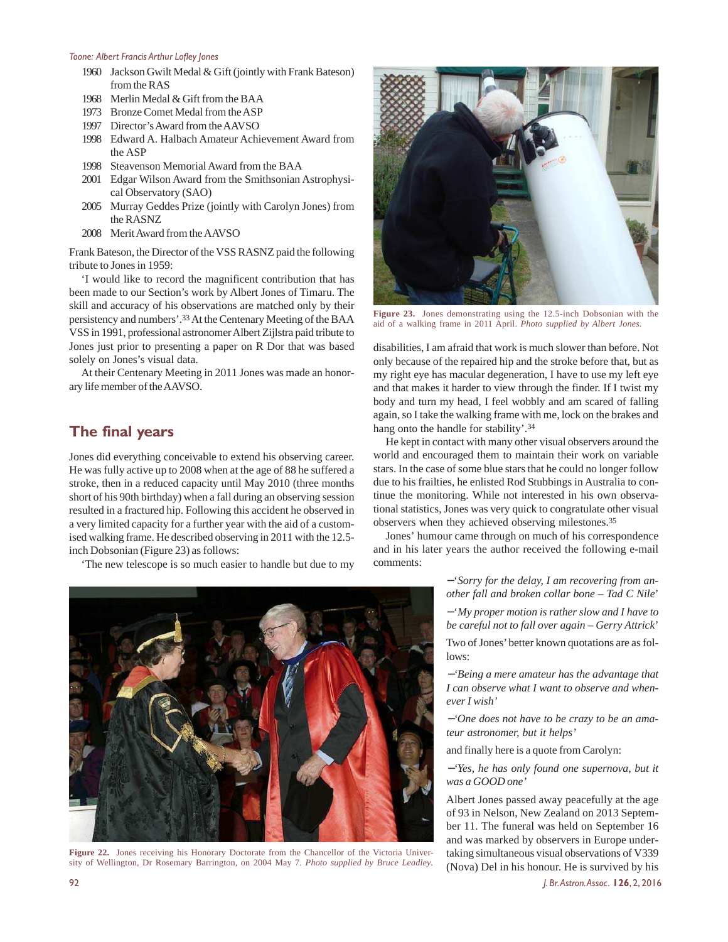- 1960 Jackson Gwilt Medal & Gift (jointly with Frank Bateson) from the RAS
- 1968 Merlin Medal & Gift from the BAA
- 1973 Bronze Comet Medal from the ASP
- 1997 Director's Award from the AAVSO
- 1998 Edward A. Halbach Amateur Achievement Award from the ASP
- 1998 Steavenson Memorial Award from the BAA
- 2001 Edgar Wilson Award from the Smithsonian Astrophysical Observatory (SAO)
- 2005 Murray Geddes Prize (jointly with Carolyn Jones) from the RASNZ
- 2008 Merit Award from the AAVSO

Frank Bateson, the Director of the VSS RASNZ paid the following tribute to Jones in 1959:

'I would like to record the magnificent contribution that has been made to our Section's work by Albert Jones of Timaru. The skill and accuracy of his observations are matched only by their persistency and numbers'.<sup>33</sup> At the Centenary Meeting of the BAA VSS in 1991, professional astronomer Albert Zijlstra paid tribute to Jones just prior to presenting a paper on R Dor that was based solely on Jones's visual data.

At their Centenary Meeting in 2011 Jones was made an honorary life member of the AAVSO.

## **The final years**

Jones did everything conceivable to extend his observing career. He was fully active up to 2008 when at the age of 88 he suffered a stroke, then in a reduced capacity until May 2010 (three months short of his 90th birthday) when a fall during an observing session resulted in a fractured hip. Following this accident he observed in a very limited capacity for a further year with the aid of a customised walking frame. He described observing in 2011 with the 12.5 inch Dobsonian (Figure 23) as follows:

'The new telescope is so much easier to handle but due to my



**Figure 22.** Jones receiving his Honorary Doctorate from the Chancellor of the Victoria University of Wellington, Dr Rosemary Barrington, on 2004 May 7. *Photo supplied by Bruce Leadley*.



**Figure 23.** Jones demonstrating using the 12.5-inch Dobsonian with the aid of a walking frame in 2011 April. *Photo supplied by Albert Jones.*

disabilities, I am afraid that work is much slower than before. Not only because of the repaired hip and the stroke before that, but as my right eye has macular degeneration, I have to use my left eye and that makes it harder to view through the finder. If I twist my body and turn my head, I feel wobbly and am scared of falling again, so I take the walking frame with me, lock on the brakes and hang onto the handle for stability'.<sup>34</sup>

He kept in contact with many other visual observers around the world and encouraged them to maintain their work on variable stars. In the case of some blue stars that he could no longer follow due to his frailties, he enlisted Rod Stubbings in Australia to continue the monitoring. While not interested in his own observational statistics, Jones was very quick to congratulate other visual observers when they achieved observing milestones.<sup>35</sup>

Jones' humour came through on much of his correspondence and in his later years the author received the following e-mail comments:

> −'*Sorry for the delay, I am recovering from another fall and broken collar bone – Tad C Nile*'

> −'*My proper motion is rather slow and I have to be careful not to fall over again – Gerry Attrick*'

> Two of Jones' better known quotations are as follows:

> <sup>−</sup>*'Being a mere amateur has the advantage that I can observe what I want to observe and whenever I wish'*

> −*'One does not have to be crazy to be an amateur astronomer, but it helps'*

and finally here is a quote from Carolyn:

<sup>−</sup>*'Yes, he has only found one supernova, but it was a GOOD one'*

Albert Jones passed away peacefully at the age of 93 in Nelson, New Zealand on 2013 September 11. The funeral was held on September 16 and was marked by observers in Europe undertaking simultaneous visual observations of V339 (Nova) Del in his honour. He is survived by his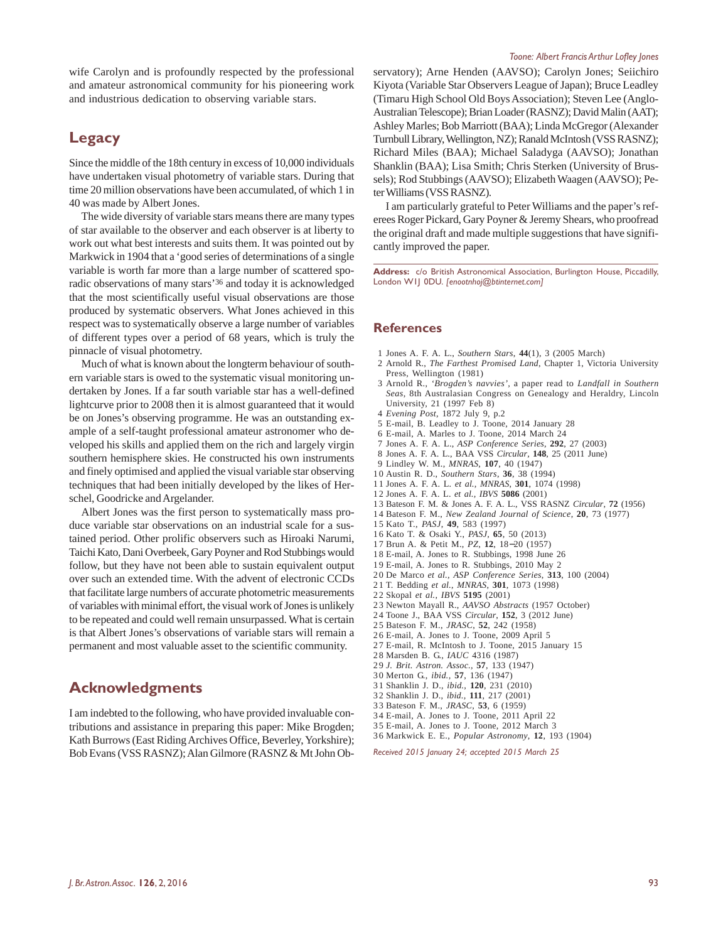wife Carolyn and is profoundly respected by the professional and amateur astronomical community for his pioneering work and industrious dedication to observing variable stars.

## **Legacy**

Since the middle of the 18th century in excess of 10,000 individuals have undertaken visual photometry of variable stars. During that time 20 million observations have been accumulated, of which 1 in 40 was made by Albert Jones.

The wide diversity of variable stars means there are many types of star available to the observer and each observer is at liberty to work out what best interests and suits them. It was pointed out by Markwick in 1904 that a 'good series of determinations of a single variable is worth far more than a large number of scattered sporadic observations of many stars'<sup>36</sup> and today it is acknowledged that the most scientifically useful visual observations are those produced by systematic observers. What Jones achieved in this respect was to systematically observe a large number of variables of different types over a period of 68 years, which is truly the pinnacle of visual photometry.

Much of what is known about the longterm behaviour of southern variable stars is owed to the systematic visual monitoring undertaken by Jones. If a far south variable star has a well-defined lightcurve prior to 2008 then it is almost guaranteed that it would be on Jones's observing programme. He was an outstanding example of a self-taught professional amateur astronomer who developed his skills and applied them on the rich and largely virgin southern hemisphere skies. He constructed his own instruments and finely optimised and applied the visual variable star observing techniques that had been initially developed by the likes of Herschel, Goodricke and Argelander.

Albert Jones was the first person to systematically mass produce variable star observations on an industrial scale for a sustained period. Other prolific observers such as Hiroaki Narumi, Taichi Kato, Dani Overbeek, Gary Poyner and Rod Stubbings would follow, but they have not been able to sustain equivalent output over such an extended time. With the advent of electronic CCDs that facilitate large numbers of accurate photometric measurements of variables with minimal effort, the visual work of Jones is unlikely to be repeated and could well remain unsurpassed. What is certain is that Albert Jones's observations of variable stars will remain a permanent and most valuable asset to the scientific community.

### **Acknowledgments**

I am indebted to the following, who have provided invaluable contributions and assistance in preparing this paper: Mike Brogden; Kath Burrows (East Riding Archives Office, Beverley, Yorkshire); Bob Evans (VSS RASNZ); Alan Gilmore (RASNZ & Mt John Ob-

#### *Toone: Albert Francis Arthur Lofley Jones*

servatory); Arne Henden (AAVSO); Carolyn Jones; Seiichiro Kiyota (Variable Star Observers League of Japan); Bruce Leadley (Timaru High School Old Boys Association); Steven Lee (Anglo-Australian Telescope); Brian Loader (RASNZ); David Malin (AAT); Ashley Marles; Bob Marriott (BAA); Linda McGregor (Alexander Turnbull Library, Wellington, NZ); Ranald McIntosh (VSS RASNZ); Richard Miles (BAA); Michael Saladyga (AAVSO); Jonathan Shanklin (BAA); Lisa Smith; Chris Sterken (University of Brussels); Rod Stubbings (AAVSO); Elizabeth Waagen (AAVSO); Peter Williams (VSS RASNZ).

I am particularly grateful to Peter Williams and the paper's referees Roger Pickard, Gary Poyner & Jeremy Shears, who proofread the original draft and made multiple suggestions that have significantly improved the paper.

**Address:** c/o British Astronomical Association, Burlington House, Piccadilly, London W1J 0DU. *[enootnhoj@btinternet.com]*

#### **References**

- 1 Jones A. F. A. L., *Southern Stars*, **44**(1), 3 (2005 March)
- 2 Arnold R., *The Farthest Promised Land*, Chapter 1, Victoria University Press, Wellington (1981)
- 3 Arnold R., *'Brogden's navvies',* a paper read to *Landfall in Southern Seas*, 8th Australasian Congress on Genealogy and Heraldry, Lincoln University, 21 (1997 Feb 8)
- 4 *Evening Post*, 1872 July 9, p.2
- 5 E-mail, B. Leadley to J. Toone, 2014 January 28
- 6 E-mail, A. Marles to J. Toone, 2014 March 24
- 7 Jones A. F. A. L., *ASP Conference Series*, **292**, 27 (2003)
- 8 Jones A. F. A. L., BAA VSS *Circular*, **148**, 25 (2011 June)
- 9 Lindley W. M., *MNRAS*, **107**, 40 (1947)
- 1 0 Austin R. D., *Southern Stars*, **36**, 38 (1994)
- 1 1 Jones A. F. A. L. *et al., MNRAS*, **301**, 1074 (1998)
- 1 2 Jones A. F. A. L. *et al., IBVS* **5086** (2001)
- 1 3 Bateson F. M. & Jones A. F. A. L., VSS RASNZ *Circular*, **72** (1956)
- 1 4 Bateson F. M., *New Zealand Journal of Science*, **20**, 73 (1977)
- 1 5 Kato T., *PASJ*, **49**, 583 (1997)
- 1 6 Kato T. & Osaki Y., *PASJ,* **65**, 50 (2013)
- 1 7 Brun A. & Petit M., *PZ*, **12**, 18−20 (1957)
- 1 8 E-mail, A. Jones to R. Stubbings, 1998 June 26
- 1 9 E-mail, A. Jones to R. Stubbings, 2010 May 2
- 2 0 De Marco *et al., ASP Conference Series*, **313**, 100 (2004)
- 2 1 T. Bedding *et al.*, *MNRAS*, **301**, 1073 (1998)
- 2 2 Skopal *et al., IBVS* **5195** (2001)
- 2 3 Newton Mayall R., *AAVSO Abstracts* (1957 October)
- 2 4 Toone J., BAA VSS *Circular*, **152**, 3 (2012 June)
- 2 5 Bateson F. M., *JRASC*, **52**, 242 (1958)
- 2 6 E-mail, A. Jones to J. Toone, 2009 April 5
- 2 7 E-mail, R. McIntosh to J. Toone, 2015 January 15
- 2 8 Marsden B. G., *IAUC* 4316 (1987)
- 2 9 *J. Brit. Astron. Assoc.,* **57**, 133 (1947)
- 3 0 Merton G., *ibid.,* **57**, 136 (1947)
- 3 1 Shanklin J. D., *ibid.,* **120**, 231 (2010)
- 3 2 Shanklin J. D., *ibid.,* **111**, 217 (2001)
- 3 3 Bateson F. M., *JRASC*, **53**, 6 (1959)
- 3 4 E-mail, A. Jones to J. Toone, 2011 April 22 3 5 E-mail, A. Jones to J. Toone, 2012 March 3
- 3 6 Markwick E. E., *Popular Astronomy*, **12**, 193 (1904)

*Received 2015 January 24; accepted 2015 March 25*